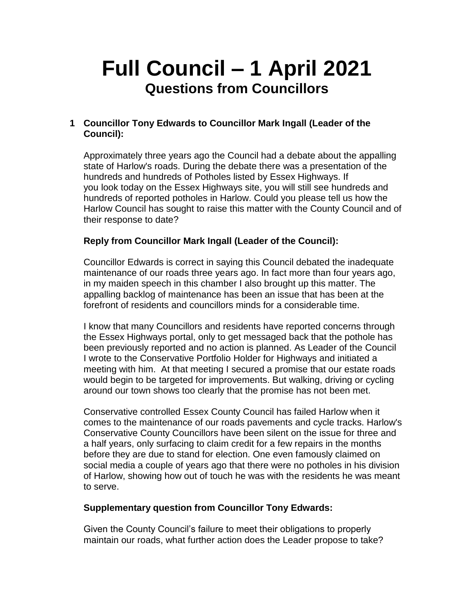# **Full Council – 1 April 2021 Questions from Councillors**

# **1 Councillor Tony Edwards to Councillor Mark Ingall (Leader of the Council):**

Approximately three years ago the Council had a debate about the appalling state of Harlow's roads. During the debate there was a presentation of the hundreds and hundreds of Potholes listed by Essex Highways. If you look today on the Essex Highways site, you will still see hundreds and hundreds of reported potholes in Harlow. Could you please tell us how the Harlow Council has sought to raise this matter with the County Council and of their response to date?

## **Reply from Councillor Mark Ingall (Leader of the Council):**

Councillor Edwards is correct in saying this Council debated the inadequate maintenance of our roads three years ago. In fact more than four years ago, in my maiden speech in this chamber I also brought up this matter. The appalling backlog of maintenance has been an issue that has been at the forefront of residents and councillors minds for a considerable time.

I know that many Councillors and residents have reported concerns through the Essex Highways portal, only to get messaged back that the pothole has been previously reported and no action is planned. As Leader of the Council I wrote to the Conservative Portfolio Holder for Highways and initiated a meeting with him. At that meeting I secured a promise that our estate roads would begin to be targeted for improvements. But walking, driving or cycling around our town shows too clearly that the promise has not been met.

Conservative controlled Essex County Council has failed Harlow when it comes to the maintenance of our roads pavements and cycle tracks. Harlow's Conservative County Councillors have been silent on the issue for three and a half years, only surfacing to claim credit for a few repairs in the months before they are due to stand for election. One even famously claimed on social media a couple of years ago that there were no potholes in his division of Harlow, showing how out of touch he was with the residents he was meant to serve.

## **Supplementary question from Councillor Tony Edwards:**

Given the County Council's failure to meet their obligations to properly maintain our roads, what further action does the Leader propose to take?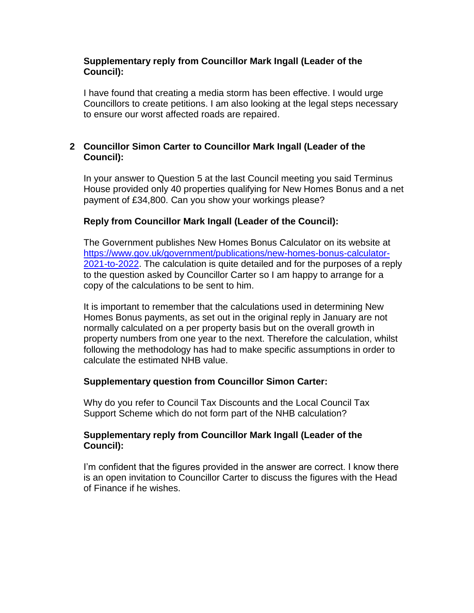## **Supplementary reply from Councillor Mark Ingall (Leader of the Council):**

I have found that creating a media storm has been effective. I would urge Councillors to create petitions. I am also looking at the legal steps necessary to ensure our worst affected roads are repaired.

# **2 Councillor Simon Carter to Councillor Mark Ingall (Leader of the Council):**

In your answer to Question 5 at the last Council meeting you said Terminus House provided only 40 properties qualifying for New Homes Bonus and a net payment of £34,800. Can you show your workings please?

# **Reply from Councillor Mark Ingall (Leader of the Council):**

The Government publishes New Homes Bonus Calculator on its website at [https://www.gov.uk/government/publications/new-homes-bonus-calculator-](https://www.gov.uk/government/publications/new-homes-bonus-calculator-2021-to-2022)[2021-to-2022.](https://www.gov.uk/government/publications/new-homes-bonus-calculator-2021-to-2022) The calculation is quite detailed and for the purposes of a reply to the question asked by Councillor Carter so I am happy to arrange for a copy of the calculations to be sent to him.

It is important to remember that the calculations used in determining New Homes Bonus payments, as set out in the original reply in January are not normally calculated on a per property basis but on the overall growth in property numbers from one year to the next. Therefore the calculation, whilst following the methodology has had to make specific assumptions in order to calculate the estimated NHB value.

## **Supplementary question from Councillor Simon Carter:**

Why do you refer to Council Tax Discounts and the Local Council Tax Support Scheme which do not form part of the NHB calculation?

## **Supplementary reply from Councillor Mark Ingall (Leader of the Council):**

I'm confident that the figures provided in the answer are correct. I know there is an open invitation to Councillor Carter to discuss the figures with the Head of Finance if he wishes.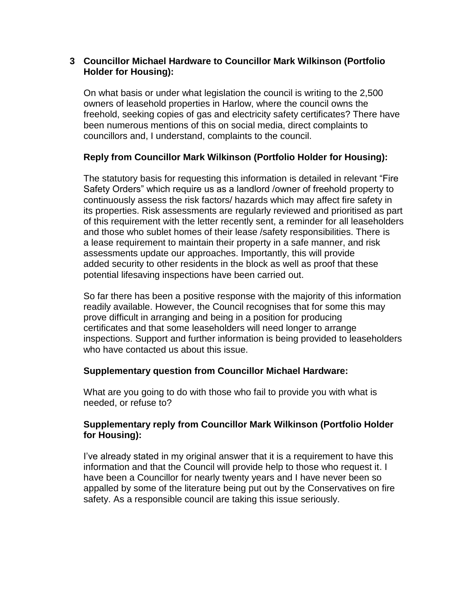## **3 Councillor Michael Hardware to Councillor Mark Wilkinson (Portfolio Holder for Housing):**

On what basis or under what legislation the council is writing to the 2,500 owners of leasehold properties in Harlow, where the council owns the freehold, seeking copies of gas and electricity safety certificates? There have been numerous mentions of this on social media, direct complaints to councillors and, I understand, complaints to the council.

# **Reply from Councillor Mark Wilkinson (Portfolio Holder for Housing):**

The statutory basis for requesting this information is detailed in relevant "Fire Safety Orders" which require us as a landlord /owner of freehold property to continuously assess the risk factors/ hazards which may affect fire safety in its properties. Risk assessments are regularly reviewed and prioritised as part of this requirement with the letter recently sent, a reminder for all leaseholders and those who sublet homes of their lease /safety responsibilities. There is a lease requirement to maintain their property in a safe manner, and risk assessments update our approaches. Importantly, this will provide added security to other residents in the block as well as proof that these potential lifesaving inspections have been carried out.

So far there has been a positive response with the majority of this information readily available. However, the Council recognises that for some this may prove difficult in arranging and being in a position for producing certificates and that some leaseholders will need longer to arrange inspections. Support and further information is being provided to leaseholders who have contacted us about this issue.

# **Supplementary question from Councillor Michael Hardware:**

What are you going to do with those who fail to provide you with what is needed, or refuse to?

## **Supplementary reply from Councillor Mark Wilkinson (Portfolio Holder for Housing):**

I've already stated in my original answer that it is a requirement to have this information and that the Council will provide help to those who request it. I have been a Councillor for nearly twenty years and I have never been so appalled by some of the literature being put out by the Conservatives on fire safety. As a responsible council are taking this issue seriously.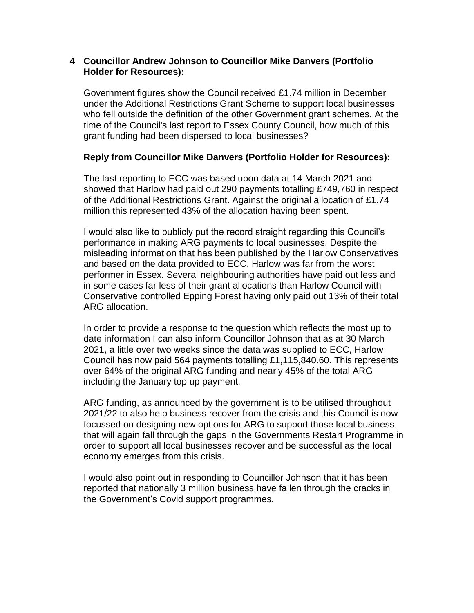#### **4 Councillor Andrew Johnson to Councillor Mike Danvers (Portfolio Holder for Resources):**

Government figures show the Council received £1.74 million in December under the Additional Restrictions Grant Scheme to support local businesses who fell outside the definition of the other Government grant schemes. At the time of the Council's last report to Essex County Council, how much of this grant funding had been dispersed to local businesses?

## **Reply from Councillor Mike Danvers (Portfolio Holder for Resources):**

The last reporting to ECC was based upon data at 14 March 2021 and showed that Harlow had paid out 290 payments totalling £749,760 in respect of the Additional Restrictions Grant. Against the original allocation of £1.74 million this represented 43% of the allocation having been spent.

I would also like to publicly put the record straight regarding this Council's performance in making ARG payments to local businesses. Despite the misleading information that has been published by the Harlow Conservatives and based on the data provided to ECC, Harlow was far from the worst performer in Essex. Several neighbouring authorities have paid out less and in some cases far less of their grant allocations than Harlow Council with Conservative controlled Epping Forest having only paid out 13% of their total ARG allocation.

In order to provide a response to the question which reflects the most up to date information I can also inform Councillor Johnson that as at 30 March 2021, a little over two weeks since the data was supplied to ECC, Harlow Council has now paid 564 payments totalling £1,115,840.60. This represents over 64% of the original ARG funding and nearly 45% of the total ARG including the January top up payment.

ARG funding, as announced by the government is to be utilised throughout 2021/22 to also help business recover from the crisis and this Council is now focussed on designing new options for ARG to support those local business that will again fall through the gaps in the Governments Restart Programme in order to support all local businesses recover and be successful as the local economy emerges from this crisis.

I would also point out in responding to Councillor Johnson that it has been reported that nationally 3 million business have fallen through the cracks in the Government's Covid support programmes.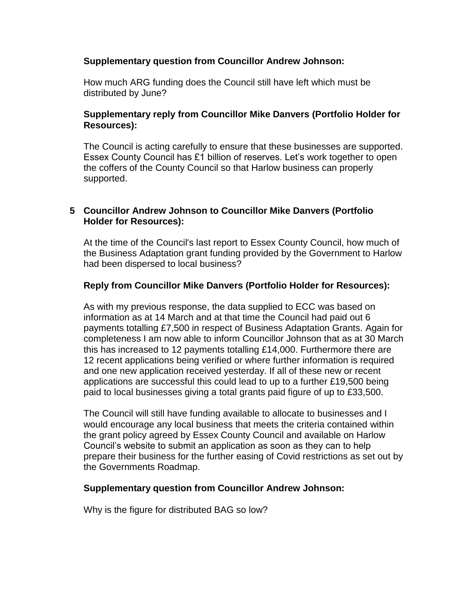## **Supplementary question from Councillor Andrew Johnson:**

How much ARG funding does the Council still have left which must be distributed by June?

## **Supplementary reply from Councillor Mike Danvers (Portfolio Holder for Resources):**

The Council is acting carefully to ensure that these businesses are supported. Essex County Council has £1 billion of reserves. Let's work together to open the coffers of the County Council so that Harlow business can properly supported.

## **5 Councillor Andrew Johnson to Councillor Mike Danvers (Portfolio Holder for Resources):**

At the time of the Council's last report to Essex County Council, how much of the Business Adaptation grant funding provided by the Government to Harlow had been dispersed to local business?

## **Reply from Councillor Mike Danvers (Portfolio Holder for Resources):**

As with my previous response, the data supplied to ECC was based on information as at 14 March and at that time the Council had paid out 6 payments totalling £7,500 in respect of Business Adaptation Grants. Again for completeness I am now able to inform Councillor Johnson that as at 30 March this has increased to 12 payments totalling £14,000. Furthermore there are 12 recent applications being verified or where further information is required and one new application received yesterday. If all of these new or recent applications are successful this could lead to up to a further £19,500 being paid to local businesses giving a total grants paid figure of up to £33,500.

The Council will still have funding available to allocate to businesses and I would encourage any local business that meets the criteria contained within the grant policy agreed by Essex County Council and available on Harlow Council's website to submit an application as soon as they can to help prepare their business for the further easing of Covid restrictions as set out by the Governments Roadmap.

#### **Supplementary question from Councillor Andrew Johnson:**

Why is the figure for distributed BAG so low?